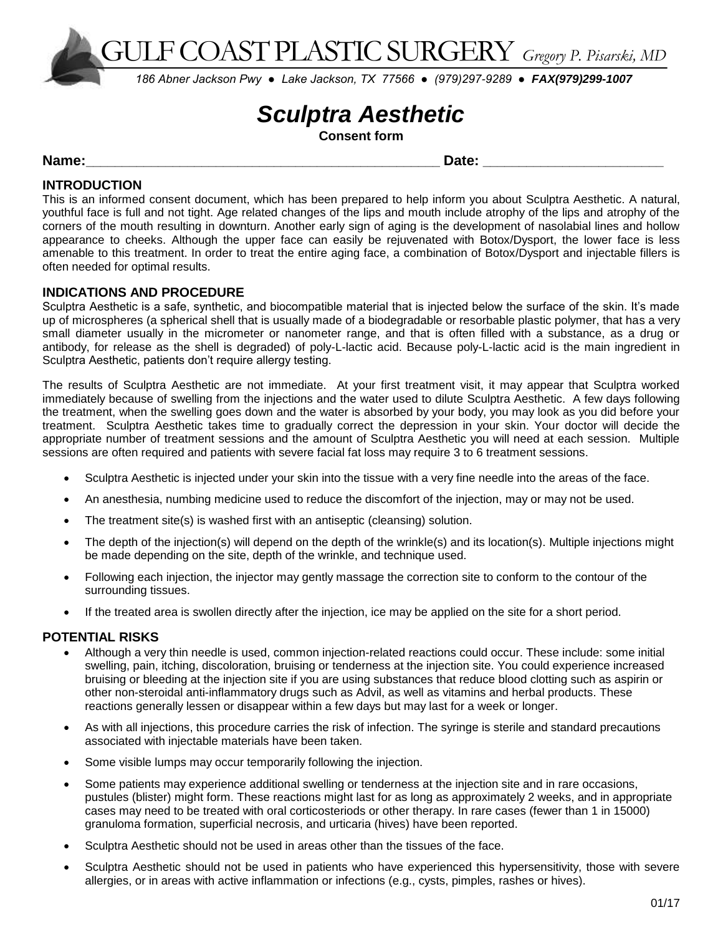GULF COAST PLASTIC SURGERY *Gregory P. Pisarski, MD*

*186 Abner Jackson Pwy ● Lake Jackson, TX 77566 ● (979)297-9289 ● FAX(979)299-1007*

# *Sculptra Aesthetic*

**Consent form**

## **Name:\_\_\_\_\_\_\_\_\_\_\_\_\_\_\_\_\_\_\_\_\_\_\_\_\_\_\_\_\_\_\_\_\_\_\_\_\_\_\_\_\_\_\_\_\_\_\_\_\_ Date: \_\_\_\_\_\_\_\_\_\_\_\_\_\_\_\_\_\_\_\_\_\_\_\_\_**

# **INTRODUCTION**

This is an informed consent document, which has been prepared to help inform you about Sculptra Aesthetic. A natural, youthful face is full and not tight. Age related changes of the lips and mouth include atrophy of the lips and atrophy of the corners of the mouth resulting in downturn. Another early sign of aging is the development of nasolabial lines and hollow appearance to cheeks. Although the upper face can easily be rejuvenated with Botox/Dysport, the lower face is less amenable to this treatment. In order to treat the entire aging face, a combination of Botox/Dysport and injectable fillers is often needed for optimal results.

## **INDICATIONS AND PROCEDURE**

Sculptra Aesthetic is a safe, synthetic, and biocompatible material that is injected below the surface of the skin. It's made up of microspheres (a spherical shell that is usually made of a biodegradable or resorbable plastic polymer, that has a very small diameter usually in the micrometer or nanometer range, and that is often filled with a substance, as a drug or antibody, for release as the shell is degraded) of poly-L-lactic acid. Because poly-L-lactic acid is the main ingredient in Sculptra Aesthetic, patients don't require allergy testing.

The results of Sculptra Aesthetic are not immediate. At your first treatment visit, it may appear that Sculptra worked immediately because of swelling from the injections and the water used to dilute Sculptra Aesthetic. A few days following the treatment, when the swelling goes down and the water is absorbed by your body, you may look as you did before your treatment. Sculptra Aesthetic takes time to gradually correct the depression in your skin. Your doctor will decide the appropriate number of treatment sessions and the amount of Sculptra Aesthetic you will need at each session. Multiple sessions are often required and patients with severe facial fat loss may require 3 to 6 treatment sessions.

- Sculptra Aesthetic is injected under your skin into the tissue with a very fine needle into the areas of the face.
- An anesthesia, numbing medicine used to reduce the discomfort of the injection, may or may not be used.
- The treatment site(s) is washed first with an antiseptic (cleansing) solution.
- The depth of the injection(s) will depend on the depth of the wrinkle(s) and its location(s). Multiple injections might be made depending on the site, depth of the wrinkle, and technique used.
- Following each injection, the injector may gently massage the correction site to conform to the contour of the surrounding tissues.
- If the treated area is swollen directly after the injection, ice may be applied on the site for a short period.

## **POTENTIAL RISKS**

- Although a very thin needle is used, common injection-related reactions could occur. These include: some initial swelling, pain, itching, discoloration, bruising or tenderness at the injection site. You could experience increased bruising or bleeding at the injection site if you are using substances that reduce blood clotting such as aspirin or other non-steroidal anti-inflammatory drugs such as Advil, as well as vitamins and herbal products. These reactions generally lessen or disappear within a few days but may last for a week or longer.
- As with all injections, this procedure carries the risk of infection. The syringe is sterile and standard precautions associated with injectable materials have been taken.
- Some visible lumps may occur temporarily following the injection.
- Some patients may experience additional swelling or tenderness at the injection site and in rare occasions, pustules (blister) might form. These reactions might last for as long as approximately 2 weeks, and in appropriate cases may need to be treated with oral corticosteriods or other therapy. In rare cases (fewer than 1 in 15000) granuloma formation, superficial necrosis, and urticaria (hives) have been reported.
- Sculptra Aesthetic should not be used in areas other than the tissues of the face.
- Sculptra Aesthetic should not be used in patients who have experienced this hypersensitivity, those with severe allergies, or in areas with active inflammation or infections (e.g., cysts, pimples, rashes or hives).